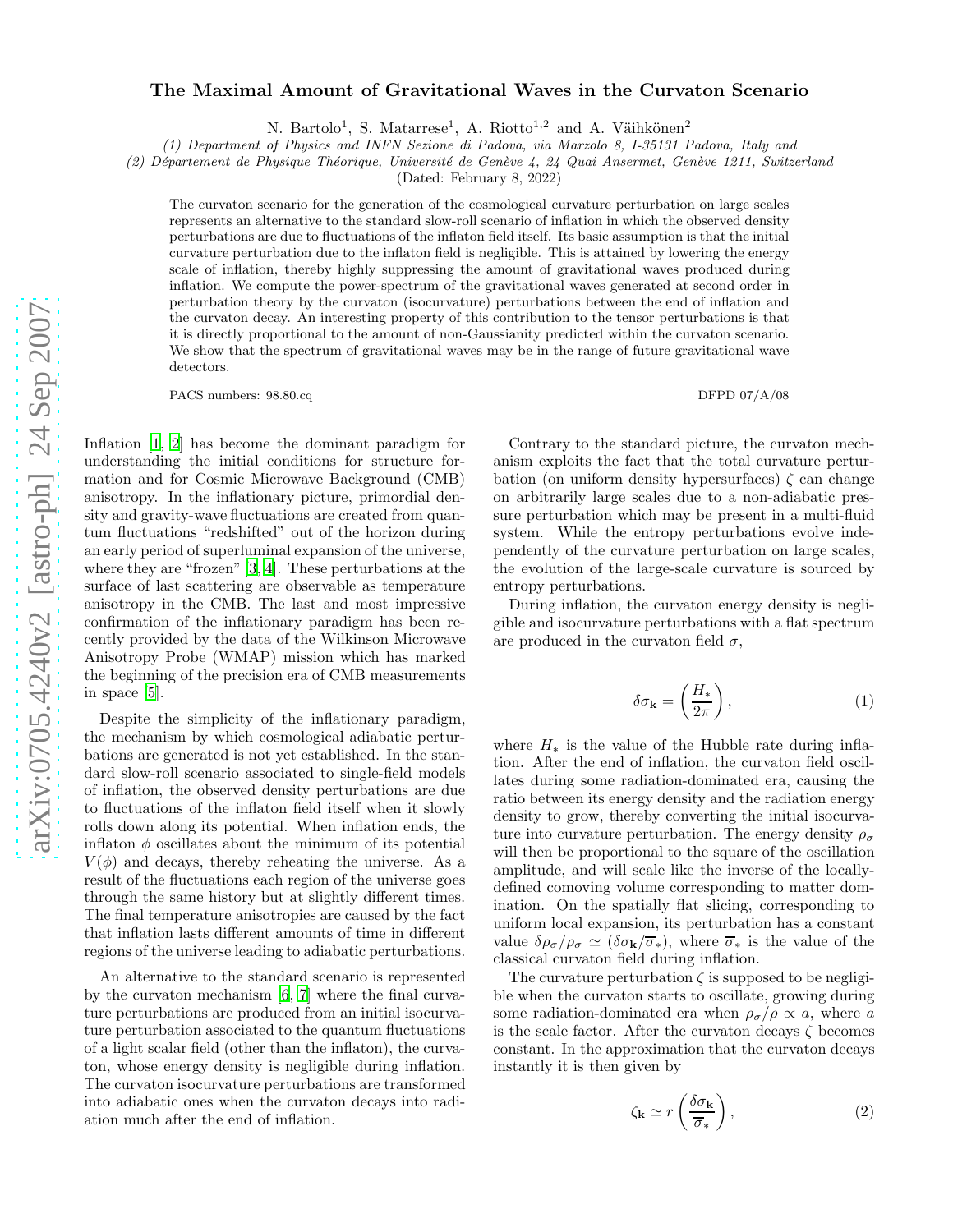## The Maximal Amount of Gravitational Waves in the Curvaton Scenario

N. Bartolo<sup>1</sup>, S. Matarrese<sup>1</sup>, A. Riotto<sup>1,2</sup> and A. Väihkönen<sup>2</sup>

(1) Department of Physics and INFN Sezione di Padova, via Marzolo 8, I-35131 Padova, Italy and

(2) Département de Physique Théorique, Université de Genève 4, 24 Quai Ansermet, Genève 1211, Switzerland

(Dated: February 8, 2022)

The curvaton scenario for the generation of the cosmological curvature perturbation on large scales represents an alternative to the standard slow-roll scenario of inflation in which the observed density perturbations are due to fluctuations of the inflaton field itself. Its basic assumption is that the initial curvature perturbation due to the inflaton field is negligible. This is attained by lowering the energy scale of inflation, thereby highly suppressing the amount of gravitational waves produced during inflation. We compute the power-spectrum of the gravitational waves generated at second order in perturbation theory by the curvaton (isocurvature) perturbations between the end of inflation and the curvaton decay. An interesting property of this contribution to the tensor perturbations is that it is directly proportional to the amount of non-Gaussianity predicted within the curvaton scenario. We show that the spectrum of gravitational waves may be in the range of future gravitational wave detectors.

PACS numbers: 98.80.cq DFPD 07/A/08

Inflation [\[1,](#page-3-0) [2](#page-3-1)] has become the dominant paradigm for understanding the initial conditions for structure formation and for Cosmic Microwave Background (CMB) anisotropy. In the inflationary picture, primordial density and gravity-wave fluctuations are created from quantum fluctuations "redshifted" out of the horizon during an early period of superluminal expansion of the universe, where they are "frozen" [\[3](#page-3-2), [4](#page-3-3)]. These perturbations at the surface of last scattering are observable as temperature anisotropy in the CMB. The last and most impressive confirmation of the inflationary paradigm has been recently provided by the data of the Wilkinson Microwave Anisotropy Probe (WMAP) mission which has marked the beginning of the precision era of CMB measurements in space [\[5\]](#page-3-4).

Despite the simplicity of the inflationary paradigm, the mechanism by which cosmological adiabatic perturbations are generated is not yet established. In the standard slow-roll scenario associated to single-field models of inflation, the observed density perturbations are due to fluctuations of the inflaton field itself when it slowly rolls down along its potential. When inflation ends, the inflaton  $\phi$  oscillates about the minimum of its potential  $V(\phi)$  and decays, thereby reheating the universe. As a result of the fluctuations each region of the universe goes through the same history but at slightly different times. The final temperature anisotropies are caused by the fact that inflation lasts different amounts of time in different regions of the universe leading to adiabatic perturbations.

An alternative to the standard scenario is represented by the curvaton mechanism [\[6,](#page-3-5) [7](#page-3-6)] where the final curvature perturbations are produced from an initial isocurvature perturbation associated to the quantum fluctuations of a light scalar field (other than the inflaton), the curvaton, whose energy density is negligible during inflation. The curvaton isocurvature perturbations are transformed into adiabatic ones when the curvaton decays into radiation much after the end of inflation.

Contrary to the standard picture, the curvaton mechanism exploits the fact that the total curvature perturbation (on uniform density hypersurfaces)  $\zeta$  can change on arbitrarily large scales due to a non-adiabatic pressure perturbation which may be present in a multi-fluid system. While the entropy perturbations evolve independently of the curvature perturbation on large scales, the evolution of the large-scale curvature is sourced by entropy perturbations.

During inflation, the curvaton energy density is negligible and isocurvature perturbations with a flat spectrum are produced in the curvaton field  $\sigma$ ,

$$
\delta \sigma_{\mathbf{k}} = \left(\frac{H_*}{2\pi}\right),\tag{1}
$$

where  $H_*$  is the value of the Hubble rate during inflation. After the end of inflation, the curvaton field oscillates during some radiation-dominated era, causing the ratio between its energy density and the radiation energy density to grow, thereby converting the initial isocurvature into curvature perturbation. The energy density  $\rho_{\sigma}$ will then be proportional to the square of the oscillation amplitude, and will scale like the inverse of the locallydefined comoving volume corresponding to matter domination. On the spatially flat slicing, corresponding to uniform local expansion, its perturbation has a constant value  $\delta \rho_{\sigma}/\rho_{\sigma} \simeq (\delta \sigma_{\mathbf{k}}/\overline{\sigma}_{*})$ , where  $\overline{\sigma}_{*}$  is the value of the classical curvaton field during inflation.

The curvature perturbation  $\zeta$  is supposed to be negligible when the curvaton starts to oscillate, growing during some radiation-dominated era when  $\rho_{\sigma}/\rho \propto a$ , where a is the scale factor. After the curvaton decays  $\zeta$  becomes constant. In the approximation that the curvaton decays instantly it is then given by

<span id="page-0-0"></span>
$$
\zeta_{\mathbf{k}} \simeq r \left( \frac{\delta \sigma_{\mathbf{k}}}{\overline{\sigma}_{*}} \right), \tag{2}
$$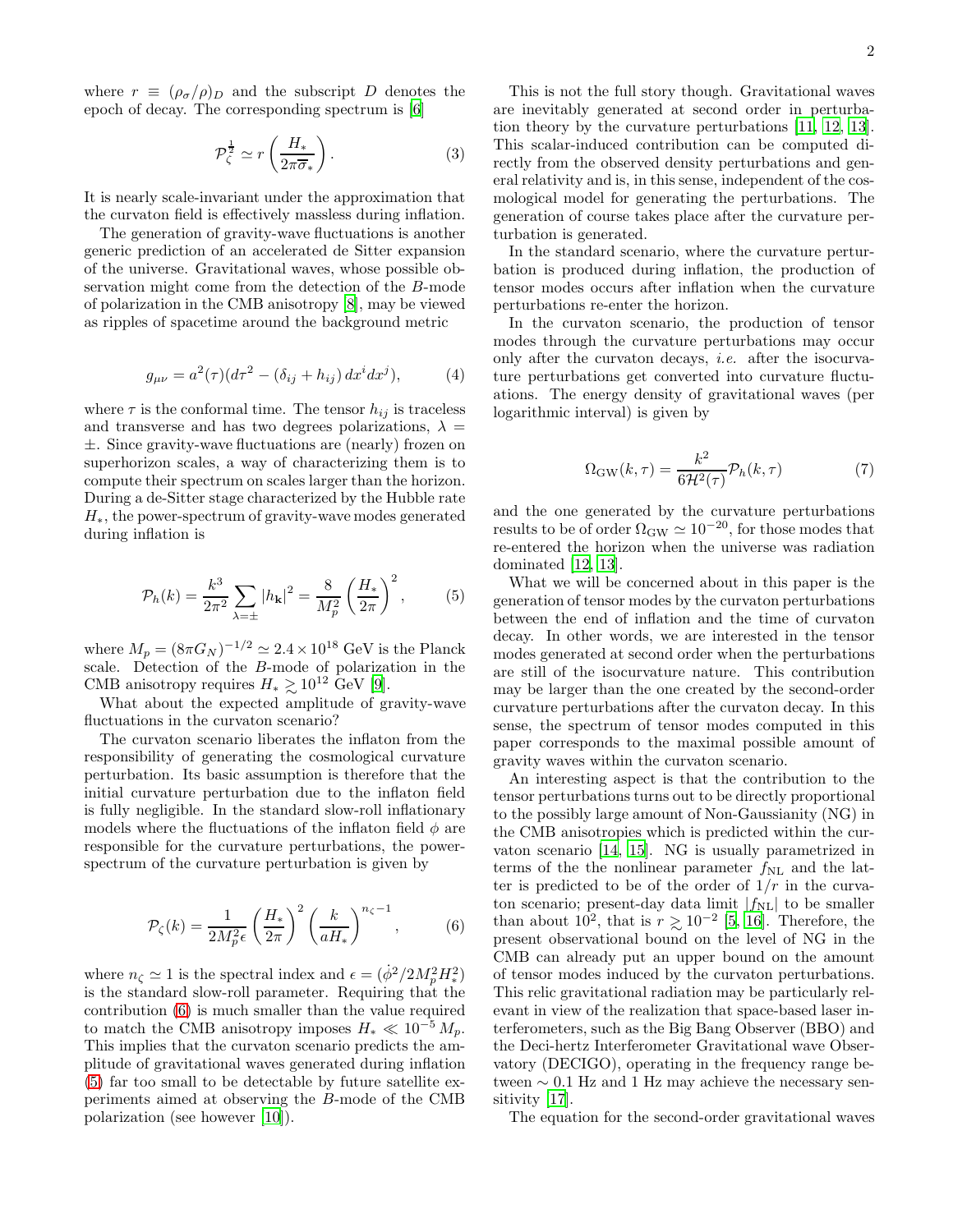where  $r \equiv (\rho_{\sigma}/\rho)_{D}$  and the subscript D denotes the epoch of decay. The corresponding spectrum is [\[6](#page-3-5)]

$$
\mathcal{P}_{\zeta}^{\frac{1}{2}} \simeq r\left(\frac{H_*}{2\pi\overline{\sigma}_*}\right). \tag{3}
$$

It is nearly scale-invariant under the approximation that the curvaton field is effectively massless during inflation.

The generation of gravity-wave fluctuations is another generic prediction of an accelerated de Sitter expansion of the universe. Gravitational waves, whose possible observation might come from the detection of the B-mode of polarization in the CMB anisotropy [\[8\]](#page-3-7), may be viewed as ripples of spacetime around the background metric

$$
g_{\mu\nu} = a^2(\tau)(d\tau^2 - (\delta_{ij} + h_{ij}) dx^i dx^j),
$$
 (4)

where  $\tau$  is the conformal time. The tensor  $h_{ij}$  is traceless and transverse and has two degrees polarizations,  $\lambda =$ ±. Since gravity-wave fluctuations are (nearly) frozen on superhorizon scales, a way of characterizing them is to compute their spectrum on scales larger than the horizon. During a de-Sitter stage characterized by the Hubble rate  $H_*$ , the power-spectrum of gravity-wave modes generated during inflation is

<span id="page-1-1"></span>
$$
\mathcal{P}_h(k) = \frac{k^3}{2\pi^2} \sum_{\lambda = \pm} |h_{\mathbf{k}}|^2 = \frac{8}{M_p^2} \left(\frac{H_*}{2\pi}\right)^2, \quad (5)
$$

where  $M_p = (8\pi G_N)^{-1/2} \simeq 2.4 \times 10^{18}$  GeV is the Planck scale. Detection of the B-mode of polarization in the CMB anisotropy requires  $H_* \geq 10^{12}$  GeV [\[9\]](#page-3-8).

What about the expected amplitude of gravity-wave fluctuations in the curvaton scenario?

The curvaton scenario liberates the inflaton from the responsibility of generating the cosmological curvature perturbation. Its basic assumption is therefore that the initial curvature perturbation due to the inflaton field is fully negligible. In the standard slow-roll inflationary models where the fluctuations of the inflaton field  $\phi$  are responsible for the curvature perturbations, the powerspectrum of the curvature perturbation is given by

<span id="page-1-0"></span>
$$
\mathcal{P}_{\zeta}(k) = \frac{1}{2M_p^2 \epsilon} \left(\frac{H_*}{2\pi}\right)^2 \left(\frac{k}{aH_*}\right)^{n_{\zeta}-1},\tag{6}
$$

where  $n_{\zeta} \simeq 1$  is the spectral index and  $\epsilon = (\dot{\phi}^2/2M_p^2H_\ast^2)$ is the standard slow-roll parameter. Requiring that the contribution [\(6\)](#page-1-0) is much smaller than the value required to match the CMB anisotropy imposes  $H_* \ll 10^{-5} M_p$ . This implies that the curvaton scenario predicts the amplitude of gravitational waves generated during inflation [\(5\)](#page-1-1) far too small to be detectable by future satellite experiments aimed at observing the B-mode of the CMB polarization (see however [\[10\]](#page-3-9)).

This is not the full story though. Gravitational waves are inevitably generated at second order in perturbation theory by the curvature perturbations [\[11,](#page-3-10) [12,](#page-4-0) [13\]](#page-4-1). This scalar-induced contribution can be computed directly from the observed density perturbations and general relativity and is, in this sense, independent of the cosmological model for generating the perturbations. The generation of course takes place after the curvature perturbation is generated.

In the standard scenario, where the curvature perturbation is produced during inflation, the production of tensor modes occurs after inflation when the curvature perturbations re-enter the horizon.

In the curvaton scenario, the production of tensor modes through the curvature perturbations may occur only after the curvaton decays, i.e. after the isocurvature perturbations get converted into curvature fluctuations. The energy density of gravitational waves (per logarithmic interval) is given by

$$
\Omega_{\rm GW}(k,\tau) = \frac{k^2}{6\mathcal{H}^2(\tau)} \mathcal{P}_h(k,\tau) \tag{7}
$$

and the one generated by the curvature perturbations results to be of order  $\Omega_{\rm GW} \simeq 10^{-20}$ , for those modes that re-entered the horizon when the universe was radiation dominated [\[12,](#page-4-0) [13](#page-4-1)].

What we will be concerned about in this paper is the generation of tensor modes by the curvaton perturbations between the end of inflation and the time of curvaton decay. In other words, we are interested in the tensor modes generated at second order when the perturbations are still of the isocurvature nature. This contribution may be larger than the one created by the second-order curvature perturbations after the curvaton decay. In this sense, the spectrum of tensor modes computed in this paper corresponds to the maximal possible amount of gravity waves within the curvaton scenario.

An interesting aspect is that the contribution to the tensor perturbations turns out to be directly proportional to the possibly large amount of Non-Gaussianity (NG) in the CMB anisotropies which is predicted within the curvaton scenario [\[14](#page-4-2), [15](#page-4-3)]. NG is usually parametrized in terms of the the nonlinear parameter  $f_{NL}$  and the latter is predicted to be of the order of  $1/r$  in the curvaton scenario; present-day data limit  $|f_{\text{NL}}|$  to be smaller than about  $10^2$ , that is  $r \ge 10^{-2}$  [\[5](#page-3-4), [16](#page-4-4)]. Therefore, the present observational bound on the level of NG in the CMB can already put an upper bound on the amount of tensor modes induced by the curvaton perturbations. This relic gravitational radiation may be particularly relevant in view of the realization that space-based laser interferometers, such as the Big Bang Observer (BBO) and the Deci-hertz Interferometer Gravitational wave Observatory (DECIGO), operating in the frequency range between  $\sim 0.1$  Hz and 1 Hz may achieve the necessary sensitivity [\[17](#page-4-5)].

The equation for the second-order gravitational waves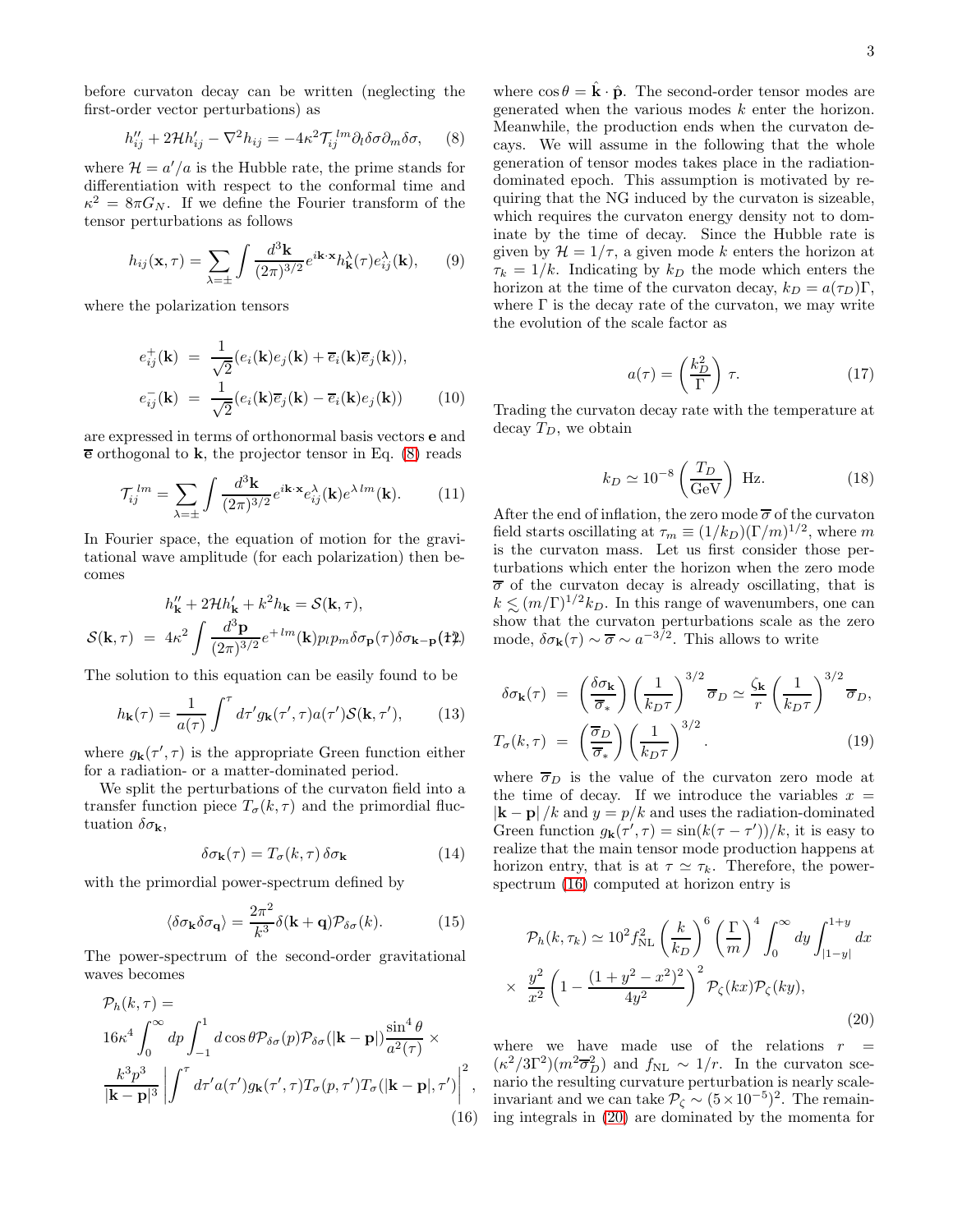before curvaton decay can be written (neglecting the first-order vector perturbations) as

<span id="page-2-0"></span>
$$
h_{ij}'' + 2\mathcal{H}h_{ij}' - \nabla^2 h_{ij} = -4\kappa^2 \mathcal{T}_{ij}^{lm} \partial_l \delta \sigma \partial_m \delta \sigma,
$$
 (8)

where  $\mathcal{H} = a'/a$  is the Hubble rate, the prime stands for differentiation with respect to the conformal time and  $\kappa^2 = 8\pi G_N$ . If we define the Fourier transform of the tensor perturbations as follows

$$
h_{ij}(\mathbf{x},\tau) = \sum_{\lambda=\pm} \int \frac{d^3 \mathbf{k}}{(2\pi)^{3/2}} e^{i\mathbf{k}\cdot\mathbf{x}} h_{\mathbf{k}}^{\lambda}(\tau) e_{ij}^{\lambda}(\mathbf{k}), \qquad (9)
$$

where the polarization tensors

$$
e_{ij}^{+}(\mathbf{k}) = \frac{1}{\sqrt{2}}(e_i(\mathbf{k})e_j(\mathbf{k}) + \overline{e}_i(\mathbf{k})\overline{e}_j(\mathbf{k})),
$$
  
\n
$$
e_{ij}^{-}(\mathbf{k}) = \frac{1}{\sqrt{2}}(e_i(\mathbf{k})\overline{e}_j(\mathbf{k}) - \overline{e}_i(\mathbf{k})e_j(\mathbf{k}))
$$
 (10)

are expressed in terms of orthonormal basis vectors e and  $\bar{e}$  orthogonal to **k**, the projector tensor in Eq. [\(8\)](#page-2-0) reads

$$
\mathcal{T}_{ij}^{lm} = \sum_{\lambda=\pm} \int \frac{d^3 \mathbf{k}}{(2\pi)^{3/2}} e^{i\mathbf{k} \cdot \mathbf{x}} e^{\lambda}_{ij}(\mathbf{k}) e^{\lambda lm}(\mathbf{k}). \tag{11}
$$

In Fourier space, the equation of motion for the gravitational wave amplitude (for each polarization) then becomes

$$
h''_{\mathbf{k}} + 2\mathcal{H}h'_{\mathbf{k}} + k^2 h_{\mathbf{k}} = \mathcal{S}(\mathbf{k}, \tau),
$$

$$
\mathcal{S}(\mathbf{k}, \tau) = 4\kappa^2 \int \frac{d^3 \mathbf{p}}{(2\pi)^{3/2}} e^{+lm}(\mathbf{k}) p_l p_m \delta \sigma_{\mathbf{p}}(\tau) \delta \sigma_{\mathbf{k} - \mathbf{p}}(\tau) .
$$

The solution to this equation can be easily found to be

$$
h_{\mathbf{k}}(\tau) = \frac{1}{a(\tau)} \int^{\tau} d\tau' g_{\mathbf{k}}(\tau', \tau) a(\tau') \mathcal{S}(\mathbf{k}, \tau'), \qquad (13)
$$

where  $g_{\mathbf{k}}(\tau', \tau)$  is the appropriate Green function either for a radiation- or a matter-dominated period.

We split the perturbations of the curvaton field into a transfer function piece  $T_{\sigma}(k, \tau)$  and the primordial fluctuation  $\delta \sigma_{\mathbf{k}}$ ,

$$
\delta \sigma_{\mathbf{k}}(\tau) = T_{\sigma}(k, \tau) \, \delta \sigma_{\mathbf{k}} \tag{14}
$$

,

with the primordial power-spectrum defined by

$$
\langle \delta \sigma_{\mathbf{k}} \delta \sigma_{\mathbf{q}} \rangle = \frac{2\pi^2}{k^3} \delta(\mathbf{k} + \mathbf{q}) \mathcal{P}_{\delta \sigma}(k). \tag{15}
$$

The power-spectrum of the second-order gravitational waves becomes

<span id="page-2-1"></span>
$$
\mathcal{P}_h(k,\tau) =
$$
  
\n
$$
16\kappa^4 \int_0^\infty dp \int_{-1}^1 d\cos\theta \mathcal{P}_{\delta\sigma}(p) \mathcal{P}_{\delta\sigma}(|\mathbf{k} - \mathbf{p}|) \frac{\sin^4\theta}{a^2(\tau)} \times
$$
  
\n
$$
\frac{k^3 p^3}{|\mathbf{k} - \mathbf{p}|^3} \left| \int_{-\pi}^\tau d\tau' a(\tau') g_{\mathbf{k}}(\tau', \tau) T_{\sigma}(p, \tau') T_{\sigma}(|\mathbf{k} - \mathbf{p}|, \tau') \right|^2
$$
\n(16)

where  $\cos \theta = \hat{\mathbf{k}} \cdot \hat{\mathbf{p}}$ . The second-order tensor modes are generated when the various modes k enter the horizon. Meanwhile, the production ends when the curvaton decays. We will assume in the following that the whole generation of tensor modes takes place in the radiationdominated epoch. This assumption is motivated by requiring that the NG induced by the curvaton is sizeable, which requires the curvaton energy density not to dominate by the time of decay. Since the Hubble rate is given by  $\mathcal{H} = 1/\tau$ , a given mode k enters the horizon at  $\tau_k = 1/k$ . Indicating by  $k_D$  the mode which enters the horizon at the time of the curvaton decay,  $k_D = a(\tau_D)\Gamma$ , where  $\Gamma$  is the decay rate of the curvaton, we may write the evolution of the scale factor as

$$
a(\tau) = \left(\frac{k_D^2}{\Gamma}\right) \tau.
$$
 (17)

Trading the curvaton decay rate with the temperature at decay  $T_D$ , we obtain

$$
k_D \simeq 10^{-8} \left(\frac{T_D}{\text{GeV}}\right) \text{ Hz.} \tag{18}
$$

After the end of inflation, the zero mode  $\overline{\sigma}$  of the curvaton field starts oscillating at  $\tau_m \equiv (1/k_D)(\Gamma/m)^{1/2}$ , where m is the curvaton mass. Let us first consider those perturbations which enter the horizon when the zero mode  $\overline{\sigma}$  of the curvaton decay is already oscillating, that is  $k \lesssim (m/\Gamma)^{1/2} k_D$ . In this range of wavenumbers, one can<br>show that the curvator perturbations scale as the zero show that the curvaton perturbations scale as the zero mode,  $\delta \sigma_{\mathbf{k}}(\tau) \sim \overline{\sigma} \sim a^{-3/2}$ . This allows to write

$$
\delta \sigma_{\mathbf{k}}(\tau) = \left(\frac{\delta \sigma_{\mathbf{k}}}{\overline{\sigma}_{*}}\right) \left(\frac{1}{k_{D} \tau}\right)^{3/2} \overline{\sigma}_{D} \simeq \frac{\zeta_{\mathbf{k}}}{r} \left(\frac{1}{k_{D} \tau}\right)^{3/2} \overline{\sigma}_{D},
$$

$$
T_{\sigma}(k, \tau) = \left(\frac{\overline{\sigma}_{D}}{\overline{\sigma}_{*}}\right) \left(\frac{1}{k_{D} \tau}\right)^{3/2}.
$$
(19)

where  $\overline{\sigma}_D$  is the value of the curvaton zero mode at the time of decay. If we introduce the variables  $x =$  $|\mathbf{k} - \mathbf{p}| / k$  and  $y = p/k$  and uses the radiation-dominated Green function  $g_{\mathbf{k}}(\tau', \tau) = \frac{\sin(k(\tau - \tau'))}{k}$ , it is easy to realize that the main tensor mode production happens at horizon entry, that is at  $\tau \simeq \tau_k$ . Therefore, the powerspectrum [\(16\)](#page-2-1) computed at horizon entry is

<span id="page-2-2"></span>
$$
\mathcal{P}_h(k, \tau_k) \simeq 10^2 f_{\rm NL}^2 \left(\frac{k}{k_D}\right)^6 \left(\frac{\Gamma}{m}\right)^4 \int_0^\infty dy \int_{|1-y|}^{1+y} dx
$$
  
 
$$
\times \frac{y^2}{x^2} \left(1 - \frac{(1+y^2 - x^2)^2}{4y^2}\right)^2 \mathcal{P}_\zeta(kx) \mathcal{P}_\zeta(ky), \tag{20}
$$

(16) ing integrals in [\(20\)](#page-2-2) are dominated by the momenta forwhere we have made use of the relations  $r =$  $(\kappa^2/3\Gamma^2)(m^2\overline{\sigma}_D^2)$  and  $f_{\rm NL} \sim 1/r$ . In the curvaton scenario the resulting curvature perturbation is nearly scaleinvariant and we can take  $\mathcal{P}_{\zeta} \sim (5 \times 10^{-5})^2$ . The remain-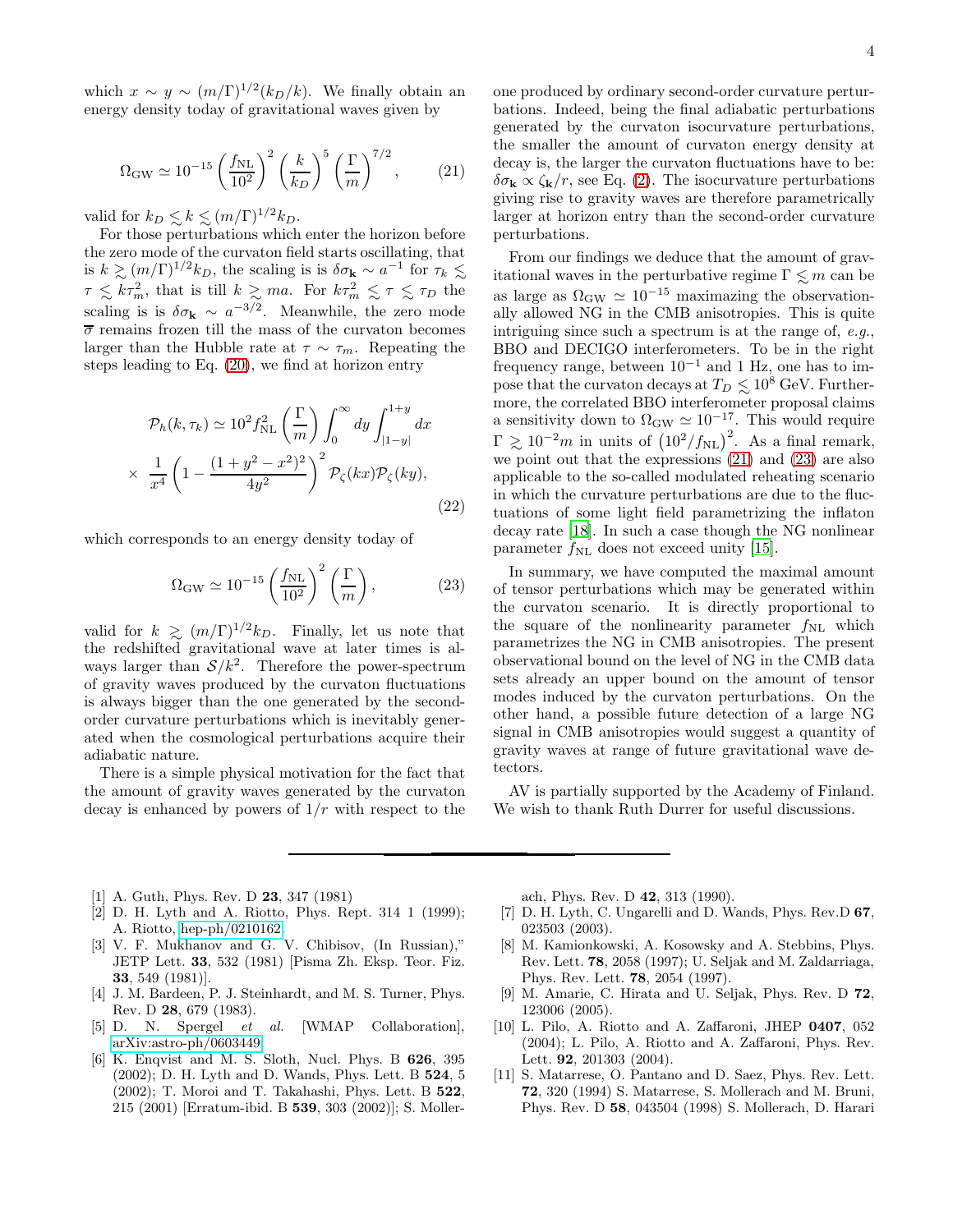which  $x \sim y \sim (m/\Gamma)^{1/2} (k_D/k)$ . We finally obtain an energy density today of gravitational waves given by

<span id="page-3-11"></span>
$$
\Omega_{\rm GW} \simeq 10^{-15} \left(\frac{f_{\rm NL}}{10^2}\right)^2 \left(\frac{k}{k_D}\right)^5 \left(\frac{\Gamma}{m}\right)^{7/2},\tag{21}
$$

valid for  $k_D \lesssim k \lesssim (m/\Gamma)^{1/2} k_D$ .<br>For those perturbations which

For those perturbations which enter the horizon before the zero mode of the curvaton field starts oscillating, that is  $k \gtrsim (m/\Gamma)^{1/2} k_D$ , the scaling is is  $\delta \sigma_{\mathbf{k}} \sim a^{-1}$  for  $\tau_k \lesssim$  $\tau \lesssim k\tau_m^2$ , that is till  $k \gtrsim ma$ . For  $k\tau_m^2 \lesssim \tau \lesssim \tau_D$  the scaling is is  $\delta \sigma_{\mathbf{k}} \sim a^{-3/2}$ . Meanwhile, the zero mode  $\overline{\sigma}$  remains frozen till the mass of the curvaton becomes larger than the Hubble rate at  $\tau \sim \tau_m$ . Repeating the steps leading to Eq. [\(20\)](#page-2-2), we find at horizon entry

$$
\mathcal{P}_h(k, \tau_k) \simeq 10^2 f_{\rm NL}^2 \left(\frac{\Gamma}{m}\right) \int_0^\infty dy \int_{|1-y|}^{1+y} dx
$$
  
 
$$
\times \frac{1}{x^4} \left(1 - \frac{(1+y^2 - x^2)^2}{4y^2}\right)^2 \mathcal{P}_\zeta(kx) \mathcal{P}_\zeta(ky), \tag{22}
$$

which corresponds to an energy density today of

<span id="page-3-12"></span>
$$
\Omega_{\rm GW} \simeq 10^{-15} \left(\frac{f_{\rm NL}}{10^2}\right)^2 \left(\frac{\Gamma}{m}\right),\tag{23}
$$

valid for  $k \geq (m/\Gamma)^{1/2} k_D$ . Finally, let us note that the redshifted gravitational wave at later times is althe redshifted gravitational wave at later times is always larger than  $S/k^2$ . Therefore the power-spectrum of gravity waves produced by the curvaton fluctuations is always bigger than the one generated by the secondorder curvature perturbations which is inevitably generated when the cosmological perturbations acquire their adiabatic nature.

There is a simple physical motivation for the fact that the amount of gravity waves generated by the curvaton decay is enhanced by powers of  $1/r$  with respect to the one produced by ordinary second-order curvature perturbations. Indeed, being the final adiabatic perturbations generated by the curvaton isocurvature perturbations, the smaller the amount of curvaton energy density at decay is, the larger the curvaton fluctuations have to be:  $\delta \sigma_{\mathbf{k}} \propto \zeta_{\mathbf{k}}/r$ , see Eq. [\(2\)](#page-0-0). The isocurvature perturbations giving rise to gravity waves are therefore parametrically larger at horizon entry than the second-order curvature perturbations.

From our findings we deduce that the amount of gravitational waves in the perturbative regime  $\Gamma \lesssim m$  can be expanded to the properties as large as  $\Omega_{\rm GW} \simeq 10^{-15}$  maximazing the observationally allowed NG in the CMB anisotropies. This is quite intriguing since such a spectrum is at the range of, e.g., BBO and DECIGO interferometers. To be in the right frequency range, between  $10^{-1}$  and 1 Hz, one has to impose that the curvaton decays at  $T_D \lesssim 10^8$  GeV. Further-<br>more the correlated BBO interferometer proposal claims more, the correlated BBO interferometer proposal claims a sensitivity down to  $\Omega_{\rm GW} \simeq 10^{-17}$ . This would require  $\Gamma \gtrsim 10^{-2}m$  in units of  $(10^2/f_{\rm NL})^2$ . As a final remark, we point out that the expressions [\(21\)](#page-3-11) and [\(23\)](#page-3-12) are also applicable to the so-called modulated reheating scenario in which the curvature perturbations are due to the fluctuations of some light field parametrizing the inflaton decay rate [\[18\]](#page-4-6). In such a case though the NG nonlinear parameter  $f_{\rm NL}$  does not exceed unity [\[15\]](#page-4-3).

In summary, we have computed the maximal amount of tensor perturbations which may be generated within the curvaton scenario. It is directly proportional to the square of the nonlinearity parameter  $f_{NL}$  which parametrizes the NG in CMB anisotropies. The present observational bound on the level of NG in the CMB data sets already an upper bound on the amount of tensor modes induced by the curvaton perturbations. On the other hand, a possible future detection of a large NG signal in CMB anisotropies would suggest a quantity of gravity waves at range of future gravitational wave detectors.

AV is partially supported by the Academy of Finland. We wish to thank Ruth Durrer for useful discussions.

- <span id="page-3-0"></span>[1] A. Guth, Phys. Rev. D 23, 347 (1981)
- <span id="page-3-1"></span>[2] D. H. Lyth and A. Riotto, Phys. Rept. 314 1 (1999); A. Riotto, [hep-ph/0210162.](http://arxiv.org/abs/hep-ph/0210162)
- <span id="page-3-2"></span>[3] V. F. Mukhanov and G. V. Chibisov, (In Russian)," JETP Lett. 33, 532 (1981) [Pisma Zh. Eksp. Teor. Fiz. 33, 549 (1981)].
- <span id="page-3-3"></span>[4] J. M. Bardeen, P. J. Steinhardt, and M. S. Turner, Phys. Rev. D 28, 679 (1983).
- <span id="page-3-4"></span>[5] D. N. Spergel et al. [WMAP Collaboration], [arXiv:astro-ph/0603449.](http://arxiv.org/abs/astro-ph/0603449)
- <span id="page-3-5"></span>[6] K. Enqvist and M. S. Sloth, Nucl. Phys. B 626, 395 (2002); D. H. Lyth and D. Wands, Phys. Lett. B 524, 5 (2002); T. Moroi and T. Takahashi, Phys. Lett. B 522, 215 (2001) [Erratum-ibid. B 539, 303 (2002)]; S. Moller-

ach, Phys. Rev. D 42, 313 (1990).

- <span id="page-3-6"></span>[7] D. H. Lyth, C. Ungarelli and D. Wands, Phys. Rev.D 67, 023503 (2003).
- <span id="page-3-7"></span>[8] M. Kamionkowski, A. Kosowsky and A. Stebbins, Phys. Rev. Lett. 78, 2058 (1997); U. Seljak and M. Zaldarriaga, Phys. Rev. Lett. 78, 2054 (1997).
- <span id="page-3-8"></span>[9] M. Amarie, C. Hirata and U. Seljak, Phys. Rev. D 72, 123006 (2005).
- <span id="page-3-9"></span>[10] L. Pilo, A. Riotto and A. Zaffaroni, JHEP 0407, 052 (2004); L. Pilo, A. Riotto and A. Zaffaroni, Phys. Rev. Lett. 92, 201303 (2004).
- <span id="page-3-10"></span>[11] S. Matarrese, O. Pantano and D. Saez, Phys. Rev. Lett. 72, 320 (1994) S. Matarrese, S. Mollerach and M. Bruni, Phys. Rev. D 58, 043504 (1998) S. Mollerach, D. Harari